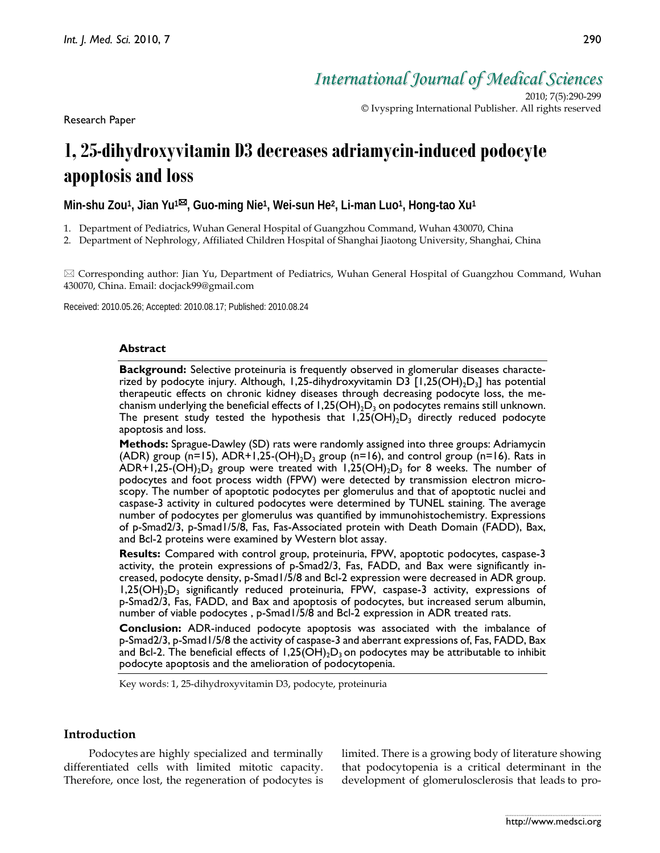Research Paper

*International Journal of Medical Sciences*

2010; 7(5):290-299 © Ivyspring International Publisher. All rights reserved

# **1, 25-dihydroxyvitamin D3 decreases adriamycin-induced podocyte apoptosis and loss**

**Min-shu Zou1, Jian Yu1, Guo-ming Nie1, Wei-sun He2, Li-man Luo1, Hong-tao Xu1**

- 1. Department of Pediatrics, Wuhan General Hospital of Guangzhou Command, Wuhan 430070, China
- 2. Department of Nephrology, Affiliated Children Hospital of Shanghai Jiaotong University, Shanghai, China

 $\boxtimes$  Corresponding author: Jian Yu, Department of Pediatrics, Wuhan General Hospital of Guangzhou Command, Wuhan 430070, China. Email: docjack99@gmail.com

Received: 2010.05.26; Accepted: 2010.08.17; Published: 2010.08.24

# **Abstract**

**Background:** Selective proteinuria is frequently observed in glomerular diseases characterized by podocyte injury. Although, 1,25-dihydroxyvitamin D3  $[1,25(OH)_2D_3]$  has potential therapeutic effects on chronic kidney diseases through decreasing podocyte loss, the mechanism underlying the beneficial effects of  $1,25(OH)_{2}D_{3}$  on podocytes remains still unknown. The present study tested the hypothesis that  $1,25(OH)<sub>2</sub>D<sub>3</sub>$  directly reduced podocyte apoptosis and loss.

**Methods:** Sprague-Dawley (SD) rats were randomly assigned into three groups: Adriamycin (ADR) group (n=15), ADR+1,25-(OH)<sub>2</sub>D<sub>3</sub> group (n=16), and control group (n=16). Rats in ADR+1,25-(OH)<sub>2</sub>D<sub>3</sub> group were treated with 1,25(OH)<sub>2</sub>D<sub>3</sub> for 8 weeks. The number of podocytes and foot process width (FPW) were detected by transmission electron microscopy. The number of apoptotic podocytes per glomerulus and that of apoptotic nuclei and caspase-3 activity in cultured podocytes were determined by TUNEL staining. The average number of podocytes per glomerulus was quantified by immunohistochemistry. Expressions of p-Smad2/3, p-Smad1/5/8, Fas, Fas-Associated protein with Death Domain (FADD), Bax, and Bcl-2 proteins were examined by Western blot assay.

**Results:** Compared with control group, proteinuria, FPW, apoptotic podocytes, caspase-3 activity, the protein expressions of p-Smad2/3, Fas, FADD, and Bax were significantly increased, podocyte density, p-Smad1/5/8 and Bcl-2 expression were decreased in ADR group.  $1,25(OH)<sub>2</sub>D<sub>3</sub>$  significantly reduced proteinuria, FPW, caspase-3 activity, expressions of p-Smad2/3, Fas, FADD, and Bax and apoptosis of podocytes, but increased serum albumin, number of viable podocytes , p-Smad1/5/8 and Bcl-2 expression in ADR treated rats.

**Conclusion:** ADR-induced podocyte apoptosis was associated with the imbalance of p-Smad2/3, p-Smad1/5/8 the activity of caspase-3 and aberrant expressions of, Fas, FADD, Bax and Bcl-2. The beneficial effects of  $1,25(OH),D<sub>3</sub>$  on podocytes may be attributable to inhibit podocyte apoptosis and the amelioration of podocytopenia.

Key words: 1, 25-dihydroxyvitamin D3, podocyte, proteinuria

# **Introduction**

Podocytes are highly specialized and terminally differentiated cells with limited mitotic capacity. Therefore, once lost, the regeneration of podocytes is limited. There is a growing body of literature showing that podocytopenia is a critical determinant in the development of glomerulosclerosis that leads to pro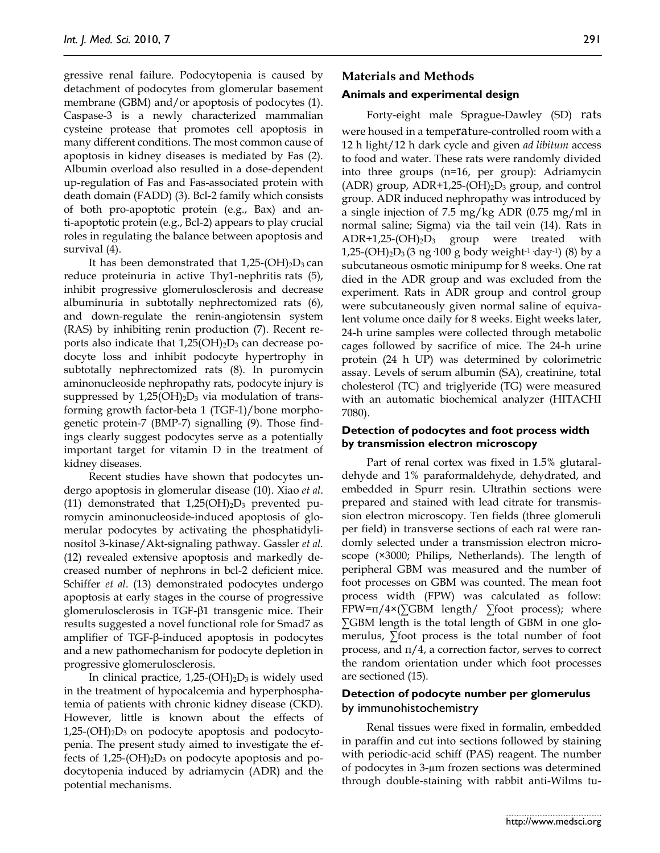gressive renal failure. Podocytopenia is caused by detachment of podocytes from glomerular basement membrane (GBM) and/or apoptosis of podocytes (1). Caspase-3 is a newly characterized mammalian cysteine protease that promotes cell apoptosis in many different conditions. The most common cause of apoptosis in kidney diseases is mediated by Fas (2). Albumin overload also resulted in a dose-dependent up-regulation of Fas and Fas-associated protein with death domain (FADD) (3). Bcl-2 family which consists of both pro-apoptotic protein (e.g., Bax) and anti-apoptotic protein (e.g., Bcl-2) appears to play crucial roles in regulating the balance between apoptosis and survival (4).

It has been demonstrated that  $1,25-(OH)_2D_3$  can reduce proteinuria in active Thy1-nephritis rats (5), inhibit progressive glomerulosclerosis and decrease albuminuria in subtotally nephrectomized rats (6), and down-regulate the renin-angiotensin system (RAS) by inhibiting renin production (7). Recent reports also indicate that  $1,25(OH)_2D_3$  can decrease podocyte loss and inhibit podocyte hypertrophy in subtotally nephrectomized rats (8). In puromycin aminonucleoside nephropathy rats, podocyte injury is suppressed by  $1,25(OH)<sub>2</sub>D<sub>3</sub>$  via modulation of transforming growth factor-beta 1 (TGF-1)/bone morphogenetic protein-7 (BMP-7) signalling (9). Those findings clearly suggest podocytes serve as a potentially important target for vitamin D in the treatment of kidney diseases.

Recent studies have shown that podocytes undergo apoptosis in glomerular disease (10). Xiao *et al*. (11) demonstrated that  $1,25(OH)_2D_3$  prevented puromycin aminonucleoside-induced apoptosis of glomerular podocytes by activating the phosphatidylinositol 3-kinase/Akt-signaling pathway. Gassler *et al.* (12) revealed extensive apoptosis and markedly decreased number of nephrons in bcl-2 deficient mice. Schiffer *et al*. (13) demonstrated podocytes undergo apoptosis at early stages in the course of progressive glomerulosclerosis in TGF-β1 transgenic mice. Their results suggested a novel functional role for Smad7 as amplifier of TGF-β-induced apoptosis in podocytes and a new pathomechanism for podocyte depletion in progressive glomerulosclerosis.

In clinical practice,  $1,25-(OH)_2D_3$  is widely used in the treatment of hypocalcemia and hyperphosphatemia of patients with chronic kidney disease (CKD). However, little is known about the effects of  $1,25-(OH)<sub>2</sub>D<sub>3</sub>$  on podocyte apoptosis and podocytopenia. The present study aimed to investigate the effects of  $1,25-(OH)<sub>2</sub>D<sub>3</sub>$  on podocyte apoptosis and podocytopenia induced by adriamycin (ADR) and the potential mechanisms.

# **Materials and Methods**

#### **Animals and experimental design**

Forty-eight male Sprague-Dawley (SD) rats were housed in a temperature-controlled room with a 12 h light/12 h dark cycle and given *ad libitum* access to food and water. These rats were randomly divided into three groups (n=16, per group): Adriamycin (ADR) group,  $ADR+1,25-(OH)_2D_3$  group, and control group. ADR induced nephropathy was introduced by a single injection of 7.5 mg/kg ADR (0.75 mg/ml in normal saline; Sigma) via the tail vein (14). Rats in  $ADR+1,25-(OH)<sub>2</sub>D<sub>3</sub>$  group were treated with 1,25-(OH)<sub>2</sub>D<sub>3</sub> (3 ng 100 g body weight<sup>-1</sup> day<sup>-1</sup>) (8) by a subcutaneous osmotic minipump for 8 weeks. One rat died in the ADR group and was excluded from the experiment. Rats in ADR group and control group were subcutaneously given normal saline of equivalent volume once daily for 8 weeks. Eight weeks later, 24-h urine samples were collected through metabolic cages followed by sacrifice of mice. The 24-h urine protein (24 h UP) was determined by colorimetric assay. Levels of serum albumin (SA), creatinine, total cholesterol (TC) and triglyeride (TG) were measured with an automatic biochemical analyzer (HITACHI 7080).

#### **Detection of podocytes and foot process width by transmission electron microscopy**

Part of renal cortex was fixed in 1.5% glutaraldehyde and 1% paraformaldehyde, dehydrated, and embedded in Spurr resin. Ultrathin sections were prepared and stained with lead citrate for transmission electron microscopy. Ten fields (three glomeruli per field) in transverse sections of each rat were randomly selected under a transmission electron microscope (×3000; Philips, Netherlands). The length of peripheral GBM was measured and the number of foot processes on GBM was counted. The mean foot process width (FPW) was calculated as follow:  $FPW=\pi/4\times(\Sigma GBM \text{ length}/\Sigma\text{foot process})$ ; where ∑GBM length is the total length of GBM in one glomerulus, ∑foot process is the total number of foot process, and  $\pi/4$ , a correction factor, serves to correct the random orientation under which foot processes are sectioned (15).

#### **Detection of podocyte number per glomerulus**  by immunohistochemistry

Renal tissues were fixed in formalin, embedded in paraffin and cut into sections followed by staining with periodic-acid schiff (PAS) reagent. The number of podocytes in 3-µm frozen sections was determined through double-staining with rabbit anti-Wilms tu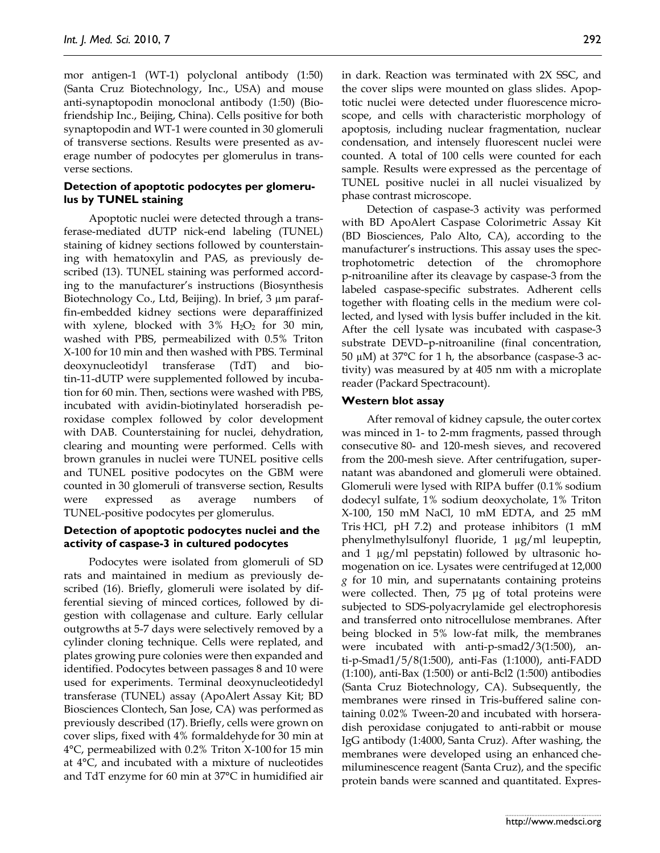mor antigen-1 (WT-1) polyclonal antibody (1:50) (Santa Cruz Biotechnology, Inc., USA) and mouse anti-synaptopodin monoclonal antibody (1:50) (Biofriendship Inc., Beijing, China). Cells positive for both synaptopodin and WT-1 were counted in 30 glomeruli of transverse sections. Results were presented as average number of podocytes per glomerulus in transverse sections.

# **Detection of apoptotic podocytes per glomerulus by TUNEL staining**

Apoptotic nuclei were detected through a transferase-mediated dUTP nick-end labeling (TUNEL) staining of kidney sections followed by counterstaining with hematoxylin and PAS, as previously described (13). TUNEL staining was performed according to the manufacturer's instructions (Biosynthesis Biotechnology Co., Ltd, Beijing). In brief, 3 µm paraffin-embedded kidney sections were deparaffinized with xylene, blocked with  $3\%$  H<sub>2</sub>O<sub>2</sub> for 30 min, washed with PBS, permeabilized with 0.5% Triton X-100 for 10 min and then washed with PBS. Terminal deoxynucleotidyl transferase (TdT) and biotin-11-dUTP were supplemented followed by incubation for 60 min. Then, sections were washed with PBS, incubated with avidin-biotinylated horseradish peroxidase complex followed by color development with DAB. Counterstaining for nuclei, dehydration, clearing and mounting were performed. Cells with brown granules in nuclei were TUNEL positive cells and TUNEL positive podocytes on the GBM were counted in 30 glomeruli of transverse section, Results were expressed as average numbers of TUNEL-positive podocytes per glomerulus.

# **Detection of apoptotic podocytes nuclei and the activity of caspase-3 in cultured podocytes**

Podocytes were isolated from glomeruli of SD rats and maintained in medium as previously described (16). Briefly, glomeruli were isolated by differential sieving of minced cortices, followed by digestion with collagenase and culture. Early cellular outgrowths at 5-7 days were selectively removed by a cylinder cloning technique. Cells were replated, and plates growing pure colonies were then expanded and identified. Podocytes between passages 8 and 10 were used for experiments. Terminal deoxynucleotidedyl transferase (TUNEL) assay (ApoAlert Assay Kit; BD Biosciences Clontech, San Jose, CA) was performed as previously described (17). Briefly, cells were grown on cover slips, fixed with 4% formaldehyde for 30 min at 4°C, permeabilized with 0.2% Triton X-100 for 15 min at 4°C, and incubated with a mixture of nucleotides and TdT enzyme for 60 min at 37°C in humidified air

in dark. Reaction was terminated with 2X SSC, and the cover slips were mounted on glass slides. Apoptotic nuclei were detected under fluorescence microscope, and cells with characteristic morphology of apoptosis, including nuclear fragmentation, nuclear condensation, and intensely fluorescent nuclei were counted. A total of 100 cells were counted for each sample. Results were expressed as the percentage of TUNEL positive nuclei in all nuclei visualized by phase contrast microscope.

Detection of caspase-3 activity was performed with BD ApoAlert Caspase Colorimetric Assay Kit (BD Biosciences, Palo Alto, CA), according to the manufacturer's instructions. This assay uses the spectrophotometric detection of the chromophore p-nitroaniline after its cleavage by caspase-3 from the labeled caspase-specific substrates. Adherent cells together with floating cells in the medium were collected, and lysed with lysis buffer included in the kit. After the cell lysate was incubated with caspase-3 substrate DEVD–p-nitroaniline (final concentration, 50  $\mu$ M) at 37°C for 1 h, the absorbance (caspase-3 activity) was measured by at 405 nm with a microplate reader (Packard Spectracount).

# **Western blot assay**

After removal of kidney capsule, the outer cortex was minced in 1- to 2-mm fragments, passed through consecutive 80- and 120-mesh sieves, and recovered from the 200-mesh sieve. After centrifugation, supernatant was abandoned and glomeruli were obtained. Glomeruli were lysed with RIPA buffer (0.1% sodium dodecyl sulfate, 1% sodium deoxycholate, 1% Triton X-100, 150 mM NaCl, 10 mM EDTA, and 25 mM Tris·HCl, pH 7.2) and protease inhibitors (1 mM phenylmethylsulfonyl fluoride, 1 µg/ml leupeptin, and 1 µg/ml pepstatin) followed by ultrasonic homogenation on ice. Lysates were centrifuged at 12,000 *g* for 10 min, and supernatants containing proteins were collected. Then, 75 μg of total proteins were subjected to SDS-polyacrylamide gel electrophoresis and transferred onto nitrocellulose membranes. After being blocked in 5% low-fat milk, the membranes were incubated with anti-p-smad2/3(1:500), anti-p-Smad1/5/8(1:500), anti-Fas (1:1000), anti-FADD (1:100), anti-Bax (1:500) or anti-Bcl2 (1:500) antibodies (Santa Cruz Biotechnology, CA). Subsequently, the membranes were rinsed in Tris-buffered saline containing 0.02% Tween-20 and incubated with horseradish peroxidase conjugated to anti-rabbit or mouse IgG antibody (1:4000, Santa Cruz). After washing, the membranes were developed using an enhanced chemiluminescence reagent (Santa Cruz), and the specific protein bands were scanned and quantitated. Expres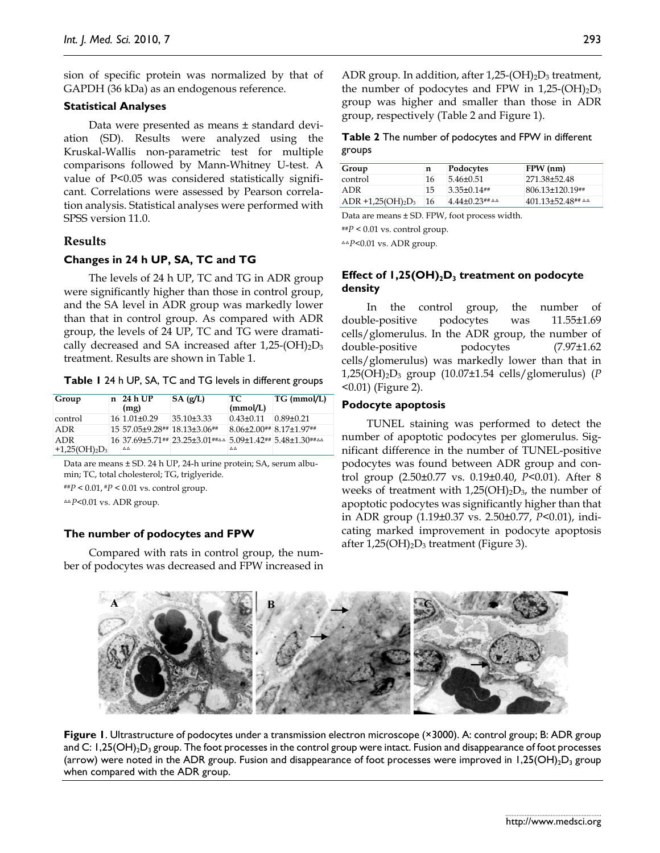sion of specific protein was normalized by that of GAPDH (36 kDa) as an endogenous reference.

# **Statistical Analyses**

Data were presented as means ± standard deviation (SD). Results were analyzed using the Kruskal-Wallis non-parametric test for multiple comparisons followed by Mann-Whitney U-test. A value of P<0.05 was considered statistically significant. Correlations were assessed by Pearson correlation analysis. Statistical analyses were performed with SPSS version 11.0.

# **Results**

# **Changes in 24 h UP, SA, TC and TG**

The levels of 24 h UP, TC and TG in ADR group were significantly higher than those in control group, and the SA level in ADR group was markedly lower than that in control group. As compared with ADR group, the levels of 24 UP, TC and TG were dramatically decreased and SA increased after 1,25-(OH)<sub>2</sub>D<sub>3</sub> treatment. Results are shown in Table 1.

|  |  |  |  | Table 1 24 h UP, SA, TC and TG levels in different groups |
|--|--|--|--|-----------------------------------------------------------|
|--|--|--|--|-----------------------------------------------------------|

| Group                              | n | 24 h UP<br>(mg)         | SA(g/L)                                                                                 | TC.<br>(mmol/L)         | $TG \, (mmol/L)$ |
|------------------------------------|---|-------------------------|-----------------------------------------------------------------------------------------|-------------------------|------------------|
| control                            |   | $16 \mid 1.01 \pm 0.29$ | $35.10\pm3.33$                                                                          | $0.43 \pm 0.11$         | $0.89 \pm 0.21$  |
| <b>ADR</b>                         |   |                         | 15 57 05 ± 9.28 $\#$ 18.13 ± 3.06 $\#$                                                  | 8.06±2.00## 8.17±1.97## |                  |
| <b>ADR</b><br>$+1,25(OH)_{2}D_{3}$ |   | $\Delta\Delta$          | 16 37.69 ± 5.71 ## 23.25 ± 3.01 ## $\triangle$ 5.09 ± 1.42 # 5.48 ± 1.30 ## $\triangle$ | $\Delta \Delta$         |                  |

Data are means ± SD. 24 h UP, 24-h urine protein; SA, serum albumin; TC, total cholesterol; TG, triglyeride.

##*P* < 0.01, #*P* < 0.01 vs. control group.

△△*P*<0.01 vs. ADR group.

# **The number of podocytes and FPW**

Compared with rats in control group, the number of podocytes was decreased and FPW increased in ADR group. In addition, after  $1,25-(OH)_2D_3$  treatment, the number of podocytes and FPW in  $1,25-(OH)_2D_3$ group was higher and smaller than those in ADR group, respectively (Table 2 and Figure 1).

# **Table 2** The number of podocytes and FPW in different groups

| Group                     | n  | Podocytes                        | $FPW$ (nm)                        |
|---------------------------|----|----------------------------------|-----------------------------------|
| control                   | 16 | $5.46 \pm 0.51$                  | 271.38±52.48                      |
| ADR                       | 15 | $3.35 \pm 0.14$ ##               | $806.13 \pm 120.19$ <sup>##</sup> |
| $ADR + 1,25(OH)_{2}D_{3}$ | 16 | $4.44\pm 0.23$ ## $\Delta\Delta$ | $401.13\pm52.48$ ## 44            |

Data are means ± SD. FPW, foot process width.

##*P* < 0.01 vs. control group.

△△*P*<0.01 vs. ADR group.

# **Effect of 1,25(OH)**<sub>2</sub> $D_3$  treatment on podocyte **density**

In the control group, the number of double-positive podocytes was 11.55±1.69 cells/glomerulus. In the ADR group, the number of double-positive podocytes (7.97±1.62 cells/glomerulus) was markedly lower than that in 1,25(OH)2D3 group (10.07±1.54 cells/glomerulus) (*P* <0.01) (Figure 2).

# **Podocyte apoptosis**

TUNEL staining was performed to detect the number of apoptotic podocytes per glomerulus. Significant difference in the number of TUNEL-positive podocytes was found between ADR group and control group (2.50±0.77 vs. 0.19±0.40, *P<*0.01). After 8 weeks of treatment with  $1,25(OH)<sub>2</sub>D<sub>3</sub>$ , the number of apoptotic podocytes was significantly higher than that in ADR group (1.19±0.37 vs. 2.50±0.77, *P*<0.01), indicating marked improvement in podocyte apoptosis after  $1,25(OH)_2D_3$  treatment (Figure 3).



**Figure 1**. Ultrastructure of podocytes under a transmission electron microscope (×3000). A: control group; B: ADR group and C:  $1,25(OH)_{2}D_{3}$  group. The foot processes in the control group were intact. Fusion and disappearance of foot processes (arrow) were noted in the ADR group. Fusion and disappearance of foot processes were improved in 1,25(OH)<sub>2</sub>D<sub>3</sub> group when compared with the ADR group.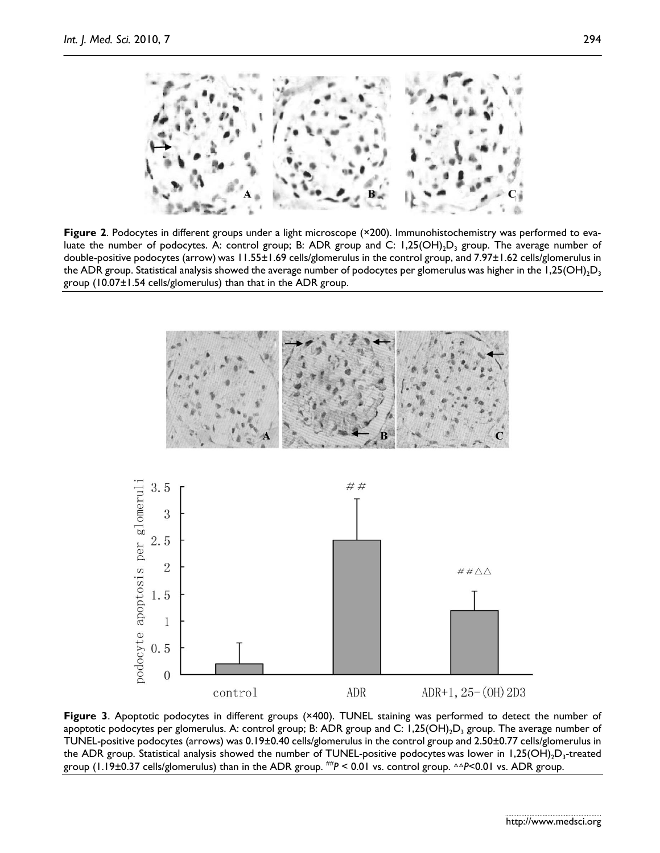

**Figure 2.** Podocytes in different groups under a light microscope (×200). Immunohistochemistry was performed to evaluate the number of podocytes. A: control group; B: ADR group and C: 1,25(OH)<sub>2</sub>D<sub>3</sub> group. The average number of double-positive podocytes (arrow) was 11.55±1.69 cells/glomerulus in the control group, and 7.97±1.62 cells/glomerulus in the ADR group. Statistical analysis showed the average number of podocytes per glomerulus was higher in the  $1,25(OH)<sub>2</sub>D<sub>3</sub>$ group (10.07±1.54 cells/glomerulus) than that in the ADR group.



**Figure 3**. Apoptotic podocytes in different groups (×400). TUNEL staining was performed to detect the number of apoptotic podocytes per glomerulus. A: control group; B: ADR group and C:  $1,25(OH)_2D_3$  group. The average number of TUNEL-positive podocytes (arrows) was 0.19±0.40 cells/glomerulus in the control group and 2.50±0.77 cells/glomerulus in the ADR group. Statistical analysis showed the number of TUNEL-positive podocytes was lower in  $1,25(OH),D<sub>3</sub>$ -treated group (1.19±0.37 cells/glomerulus) than in the ADR group. ##*P* < 0.01 vs. control group. △△*P*<0.01 vs. ADR group.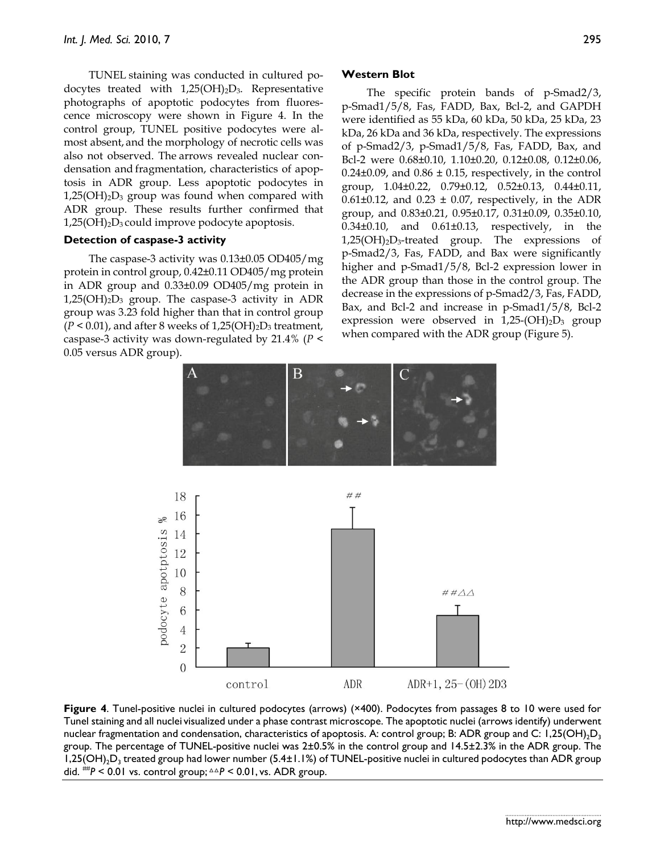TUNEL staining was conducted in cultured podocytes treated with  $1,25(OH)_2D_3$ . Representative photographs of apoptotic podocytes from fluorescence microscopy were shown in Figure 4. In the control group, TUNEL positive podocytes were almost absent, and the morphology of necrotic cells was also not observed. The arrows revealed nuclear condensation and fragmentation, characteristics of apoptosis in ADR group. Less apoptotic podocytes in  $1,25(OH)<sub>2</sub>D<sub>3</sub>$  group was found when compared with ADR group. These results further confirmed that  $1,25(OH)<sub>2</sub>D<sub>3</sub>$  could improve podocyte apoptosis.

# **Detection of caspase-3 activity**

The caspase-3 activity was 0.13±0.05 OD405/mg protein in control group, 0.42±0.11 OD405/mg protein in ADR group and 0.33±0.09 OD405/mg protein in  $1,25(OH)<sub>2</sub>D<sub>3</sub>$  group. The caspase-3 activity in ADR group was 3.23 fold higher than that in control group  $(P < 0.01)$ , and after 8 weeks of  $1,25(OH)_{2}D_{3}$  treatment, caspase-3 activity was down-regulated by 21.4% (*P* < 0.05 versus ADR group).

# **Western Blot**

The specific protein bands of p-Smad2/3, p-Smad1/5/8, Fas, FADD, Bax, Bcl-2, and GAPDH were identified as 55 kDa, 60 kDa, 50 kDa, 25 kDa, 23 kDa, 26 kDa and 36 kDa, respectively. The expressions of p-Smad2/3, p-Smad1/5/8, Fas, FADD, Bax, and Bcl-2 were 0.68±0.10, 1.10±0.20, 0.12±0.08, 0.12±0.06,  $0.24\pm0.09$ , and  $0.86\pm0.15$ , respectively, in the control group, 1.04±0.22, 0.79±0.12, 0.52±0.13, 0.44±0.11,  $0.61\pm0.12$ , and  $0.23\pm0.07$ , respectively, in the ADR group, and 0.83±0.21, 0.95±0.17, 0.31±0.09, 0.35±0.10, 0.34±0.10, and 0.61±0.13, respectively, in the  $1,25(OH)<sub>2</sub>D<sub>3</sub>$ -treated group. The expressions of p-Smad2/3, Fas, FADD, and Bax were significantly higher and p-Smad1/5/8, Bcl-2 expression lower in the ADR group than those in the control group. The decrease in the expressions of p-Smad2/3, Fas, FADD, Bax, and Bcl-2 and increase in p-Smad1/5/8, Bcl-2 expression were observed in  $1,25-(OH)_2D_3$  group when compared with the ADR group (Figure 5).



**Figure 4**. Tunel-positive nuclei in cultured podocytes (arrows) (×400). Podocytes from passages 8 to 10 were used for Tunel staining and all nuclei visualized under a phase contrast microscope. The apoptotic nuclei (arrows identify) underwent nuclear fragmentation and condensation, characteristics of apoptosis. A: control group; B: ADR group and C: 1,25(OH)<sub>2</sub>D<sub>3</sub> group. The percentage of TUNEL-positive nuclei was 2±0.5% in the control group and 14.5±2.3% in the ADR group. The 1,25(OH)<sub>2</sub>D<sub>3</sub> treated group had lower number (5.4±1.1%) of TUNEL-positive nuclei in cultured podocytes than ADR group did. ##*P* < 0.01 vs. control group; △△*P* < 0.01, vs. ADR group.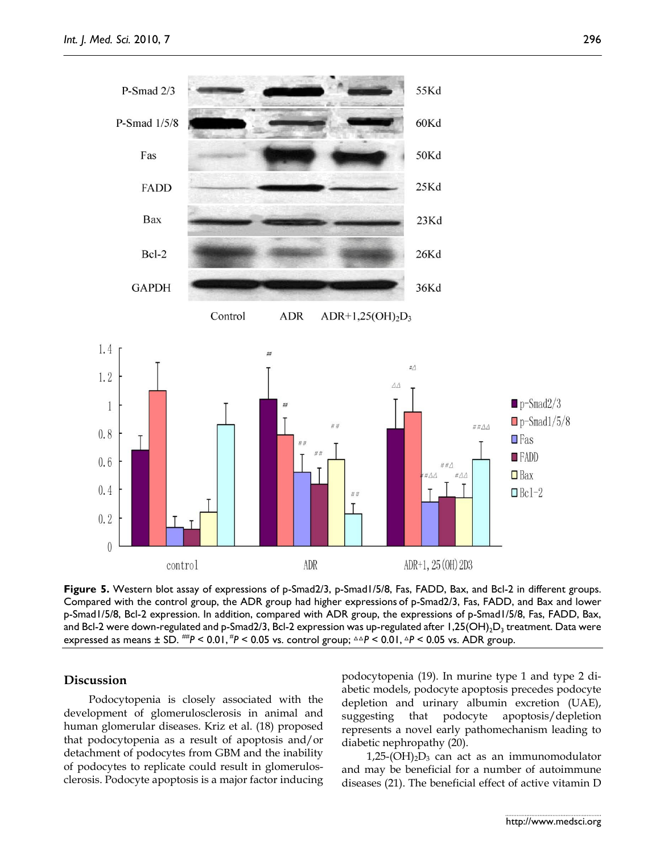

**Figure 5.** Western blot assay of expressions of p-Smad2/3, p-Smad1/5/8, Fas, FADD, Bax, and Bcl-2 in different groups. Compared with the control group, the ADR group had higher expressions of p-Smad2/3, Fas, FADD, and Bax and lower p-Smad1/5/8, Bcl-2 expression. In addition, compared with ADR group, the expressions of p-Smad1/5/8, Fas, FADD, Bax, and Bcl-2 were down-regulated and p-Smad2/3, Bcl-2 expression was up-regulated after  $1,25(OH),D<sub>3</sub>$  treatment. Data were expressed as means ± SD. <sup>##p</sup> < 0.01, <sup>#p</sup> < 0.05 vs. control group; △△P < 0.01, △P < 0.05 vs. ADR group.

# **Discussion**

Podocytopenia is closely associated with the development of glomerulosclerosis in animal and human glomerular diseases. Kriz et al. (18) proposed that podocytopenia as a result of apoptosis and/or detachment of podocytes from GBM and the inability of podocytes to replicate could result in glomerulosclerosis. Podocyte apoptosis is a major factor inducing

podocytopenia (19). In murine type 1 and type 2 diabetic models, podocyte apoptosis precedes podocyte depletion and urinary albumin excretion (UAE), suggesting that podocyte apoptosis/depletion represents a novel early pathomechanism leading to diabetic nephropathy (20).

 $1,25$ -(OH)<sub>2</sub>D<sub>3</sub> can act as an immunomodulator and may be beneficial for a number of autoimmune diseases (21). The beneficial effect of active vitamin D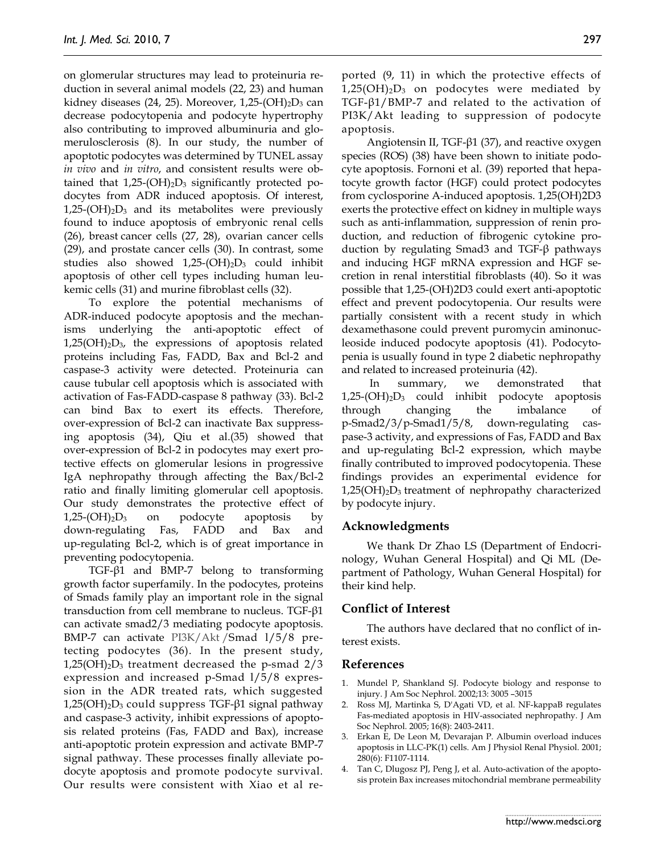on glomerular structures may lead to proteinuria reduction in several animal models (22, 23) and human kidney diseases  $(24, 25)$ . Moreover, 1,25- $(OH)<sub>2</sub>D<sub>3</sub>$  can decrease podocytopenia and podocyte hypertrophy also contributing to improved albuminuria and glomerulosclerosis (8). In our study, the number of apoptotic podocytes was determined by TUNEL assay *in vivo* and *in vitro*, and consistent results were obtained that  $1,25-(OH)_2D_3$  significantly protected podocytes from ADR induced apoptosis. Of interest,  $1,25-(OH)<sub>2</sub>D<sub>3</sub>$  and its metabolites were previously found to induce apoptosis of embryonic renal cells (26), breast cancer cells (27, 28), ovarian cancer cells (29), and prostate cancer cells (30). In contrast, some studies also showed  $1,25-(OH)_2D_3$  could inhibit apoptosis of other cell types including human leukemic cells (31) and murine fibroblast cells (32).

To explore the potential mechanisms of ADR-induced podocyte apoptosis and the mechanisms underlying the anti-apoptotic effect of  $1,25(OH)<sub>2</sub>D<sub>3</sub>$ , the expressions of apoptosis related proteins including Fas, FADD, Bax and Bcl-2 and caspase-3 activity were detected. Proteinuria can cause tubular cell apoptosis which is associated with activation of Fas-FADD-caspase 8 pathway (33). Bcl-2 can bind Bax to exert its effects. Therefore, over-expression of Bcl-2 can inactivate Bax suppressing apoptosis (34), Qiu et al.(35) showed that over-expression of Bcl-2 in podocytes may exert protective effects on glomerular lesions in progressive IgA nephropathy through affecting the Bax/Bcl-2 ratio and finally limiting glomerular cell apoptosis. Our study demonstrates the protective effect of  $1,25-(OH)<sub>2</sub>D<sub>3</sub>$  on podocyte apoptosis by down-regulating Fas, FADD and Bax and up-regulating Bcl-2, which is of great importance in preventing podocytopenia.

TGF-β1 and BMP-7 belong to transforming growth factor superfamily. In the podocytes, proteins of Smads family play an important role in the signal transduction from cell membrane to nucleus. TGF-β1 can activate smad2/3 mediating podocyte apoptosis. BMP-7 can activate PI3K/Akt /Smad l/5/8 pretecting podocytes (36). In the present study,  $1,25(OH)<sub>2</sub>D<sub>3</sub>$  treatment decreased the p-smad  $2/3$ expression and increased p-Smad l/5/8 expression in the ADR treated rats, which suggested 1,25(OH)<sub>2</sub>D<sub>3</sub> could suppress TGF-β1 signal pathway and caspase-3 activity, inhibit expressions of apoptosis related proteins (Fas, FADD and Bax), increase anti-apoptotic protein expression and activate BMP-7 signal pathway. These processes finally alleviate podocyte apoptosis and promote podocyte survival. Our results were consistent with Xiao et al reported (9, 11) in which the protective effects of  $1,25(OH)<sub>2</sub>D<sub>3</sub>$  on podocytes were mediated by TGF-β1/BMP-7 and related to the activation of PI3K/Akt leading to suppression of podocyte apoptosis.

Angiotensin II, TGF-β1 (37), and reactive oxygen species (ROS) (38) have been shown to initiate podocyte apoptosis. Fornoni et al. (39) reported that hepatocyte growth factor (HGF) could protect podocytes from cyclosporine A-induced apoptosis. 1,25(OH)2D3 exerts the protective effect on kidney in multiple ways such as anti-inflammation, suppression of renin production, and reduction of fibrogenic cytokine production by regulating Smad3 and TGF-β pathways and inducing HGF mRNA expression and HGF secretion in renal interstitial fibroblasts (40). So it was possible that 1,25-(OH)2D3 could exert anti-apoptotic effect and prevent podocytopenia. Our results were partially consistent with a recent study in which dexamethasone could prevent puromycin aminonucleoside induced podocyte apoptosis (41). Podocytopenia is usually found in type 2 diabetic nephropathy and related to increased proteinuria (42).

In summary, we demonstrated that  $1,25-(OH)<sub>2</sub>D<sub>3</sub>$  could inhibit podocyte apoptosis through changing the imbalance of p-Smad2/3/p-Smad1/5/8, down-regulating caspase-3 activity, and expressions of Fas, FADD and Bax and up-regulating Bcl-2 expression, which maybe finally contributed to improved podocytopenia. These findings provides an experimental evidence for  $1,25(OH)<sub>2</sub>D<sub>3</sub>$  treatment of nephropathy characterized by podocyte injury.

#### **Acknowledgments**

We thank Dr Zhao LS (Department of Endocrinology, Wuhan General Hospital) and Qi ML (Department of Pathology, Wuhan General Hospital) for their kind help.

# **Conflict of Interest**

The authors have declared that no conflict of interest exists.

#### **References**

- 1. Mundel P, Shankland SJ. Podocyte biology and response to injury. J Am Soc Nephrol. 2002;13: 3005 –3015
- 2. Ross MJ, Martinka S, D'Agati VD, et al. NF-kappaB regulates Fas-mediated apoptosis in HIV-associated nephropathy. J Am Soc Nephrol. 2005; 16(8): 2403-2411.
- 3. Erkan E, De Leon M, Devarajan P. Albumin overload induces apoptosis in LLC-PK(1) cells. Am J Physiol Renal Physiol. 2001; 280(6): F1107-1114.
- 4. Tan C, Dlugosz PJ, Peng J, et al. Auto-activation of the apoptosis protein Bax increases mitochondrial membrane permeability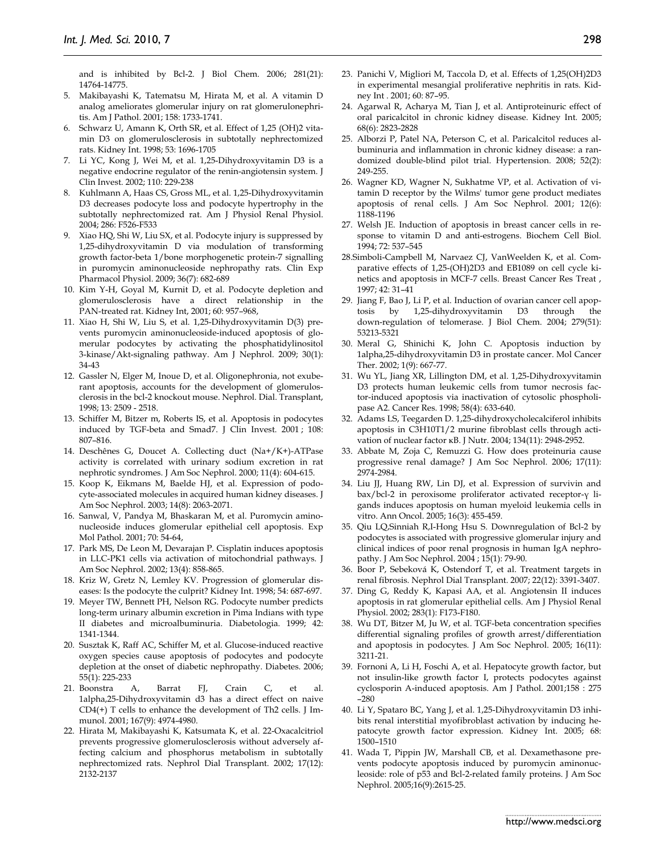and is inhibited by Bcl-2. J Biol Chem. 2006; 281(21): 14764-14775.

- 5. Makibayashi K, Tatematsu M, Hirata M, et al. A vitamin D analog ameliorates glomerular injury on rat glomerulonephritis. Am J Pathol. 2001; 158: 1733-1741.
- 6. Schwarz U, Amann K, Orth SR, et al. Effect of 1,25 (OH)2 vitamin D3 on glomerulosclerosis in subtotally nephrectomized rats. Kidney Int. 1998; 53: 1696-1705
- 7. Li YC, Kong J, Wei M, et al. 1,25-Dihydroxyvitamin D3 is a negative endocrine regulator of the renin-angiotensin system. J Clin Invest. 2002; 110: 229-238
- 8. Kuhlmann A, Haas CS, Gross ML, et al. 1,25-Dihydroxyvitamin D3 decreases podocyte loss and podocyte hypertrophy in the subtotally nephrectomized rat. Am J Physiol Renal Physiol. 2004; 286: F526-F533
- 9. Xiao HQ, Shi W, Liu SX, et al. Podocyte injury is suppressed by 1,25-dihydroxyvitamin D via modulation of transforming growth factor-beta 1/bone morphogenetic protein-7 signalling in puromycin aminonucleoside nephropathy rats. Clin Exp Pharmacol Physiol. 2009; 36(7): 682-689
- 10. Kim Y-H, Goyal M, Kurnit D, et al. Podocyte depletion and glomerulosclerosis have a direct relationship in the PAN-treated rat. Kidney Int, 2001; 60: 957–968,
- 11. Xiao H, Shi W, Liu S, et al. 1,25-Dihydroxyvitamin D(3) prevents puromycin aminonucleoside-induced apoptosis of glomerular podocytes by activating the phosphatidylinositol 3-kinase/Akt-signaling pathway. Am J Nephrol. 2009; 30(1): 34-43
- 12. Gassler N, Elger M, Inoue D, et al. Oligonephronia, not exuberant apoptosis, accounts for the development of glomerulosclerosis in the bcl-2 knockout mouse. Nephrol. Dial. Transplant, 1998; 13: 2509 - 2518.
- 13. Schiffer M, Bitzer m, Roberts IS, et al. Apoptosis in podocytes induced by TGF-beta and Smad7. J Clin Invest. 2001 ; 108: 807–816.
- 14. Deschênes G, Doucet A. Collecting duct (Na+/K+)-ATPase activity is correlated with urinary sodium excretion in rat nephrotic syndromes. J Am Soc Nephrol. 2000; 11(4): 604-615.
- 15. Koop K, Eikmans M, Baelde HJ, et al. Expression of podocyte-associated molecules in acquired human kidney diseases. J Am Soc Nephrol. 2003; 14(8): 2063-2071.
- 16. Sanwal, V, Pandya M, Bhaskaran M, et al. Puromycin aminonucleoside induces glomerular epithelial cell apoptosis. Exp Mol Pathol. 2001; 70: 54-64,
- 17. Park MS, De Leon M, Devarajan P. Cisplatin induces apoptosis in LLC-PK1 cells via activation of mitochondrial pathways. J Am Soc Nephrol. 2002; 13(4): 858-865.
- 18. Kriz W, Gretz N, Lemley KV. Progression of glomerular diseases: Is the podocyte the culprit? Kidney Int. 1998; 54: 687-697.
- 19. Meyer TW, Bennett PH, Nelson RG. Podocyte number predicts long-term urinary albumin excretion in Pima Indians with type II diabetes and microalbuminuria. Diabetologia. 1999; 42: 1341-1344.
- 20. Susztak K, Raff AC, Schiffer M, et al. Glucose-induced reactive oxygen species cause apoptosis of podocytes and podocyte depletion at the onset of diabetic nephropathy. Diabetes. 2006; 55(1): 225-233
- 21. Boonstra A, Barrat FJ, Crain C, et al. 1alpha,25-Dihydroxyvitamin d3 has a direct effect on naive CD4(+) T cells to enhance the development of Th2 cells. J Immunol. 2001; 167(9): 4974-4980.
- 22. Hirata M, Makibayashi K, Katsumata K, et al. 22-Oxacalcitriol prevents progressive glomerulosclerosis without adversely affecting calcium and phosphorus metabolism in subtotally nephrectomized rats. Nephrol Dial Transplant. 2002; 17(12): 2132-2137
- 23. Panichi V, Migliori M, Taccola D, et al. Effects of 1,25(OH)2D3 in experimental mesangial proliferative nephritis in rats. Kidney Int . 2001; 60: 87–95.
- 24. Agarwal R, Acharya M, Tian J, et al. Antiproteinuric effect of oral paricalcitol in chronic kidney disease. Kidney Int. 2005; 68(6): 2823-2828
- 25. Alborzi P, Patel NA, Peterson C, et al. Paricalcitol reduces albuminuria and inflammation in chronic kidney disease: a randomized double-blind pilot trial. Hypertension. 2008; 52(2): 249-255.
- 26. Wagner KD, Wagner N, Sukhatme VP, et al. Activation of vitamin D receptor by the Wilms' tumor gene product mediates apoptosis of renal cells. J Am Soc Nephrol. 2001; 12(6): 1188-1196
- 27. Welsh JE. Induction of apoptosis in breast cancer cells in response to vitamin D and anti-estrogens. Biochem Cell Biol. 1994; 72: 537–545
- 28.Simboli-Campbell M, Narvaez CJ, VanWeelden K, et al. Comparative effects of 1,25-(OH)2D3 and EB1089 on cell cycle kinetics and apoptosis in MCF-7 cells. Breast Cancer Res Treat , 1997; 42: 31–41
- 29. Jiang F, Bao J, Li P, et al. Induction of ovarian cancer cell apoptosis by 1,25-dihydroxyvitamin D3 through the down-regulation of telomerase. J Biol Chem. 2004; 279(51): 53213-5321
- 30. Meral G, Shinichi K, John C. Apoptosis induction by 1alpha,25-dihydroxyvitamin D3 in prostate cancer. Mol Cancer Ther. 2002; 1(9): 667-77.
- 31. Wu YL, Jiang XR, Lillington DM, et al. 1,25-Dihydroxyvitamin D3 protects human leukemic cells from tumor necrosis factor-induced apoptosis via inactivation of cytosolic phospholipase A2. Cancer Res. 1998; 58(4): 633-640.
- 32. Adams LS, Teegarden D. 1,25-dihydroxycholecalciferol inhibits apoptosis in C3H10T1/2 murine fibroblast cells through activation of nuclear factor κB. J Nutr. 2004; 134(11): 2948-2952.
- 33. Abbate M, Zoja C, Remuzzi G. How does proteinuria cause progressive renal damage? J Am Soc Nephrol. 2006; 17(11): 2974-2984.
- 34. Liu JJ, Huang RW, Lin DJ, et al. Expression of survivin and bax/bcl-2 in peroxisome proliferator activated receptor-γ ligands induces apoptosis on human myeloid leukemia cells in vitro. Ann Oncol. 2005; 16(3): 455-459.
- 35. Qiu LQ,Sinniah R,I-Hong Hsu S. Downregulation of Bcl-2 by podocytes is associated with progressive glomerular injury and clinical indices of poor renal prognosis in human IgA nephropathy. J Am Soc Nephrol. 2004 ; 15(1): 79-90.
- 36. Boor P, Sebeková K, Ostendorf T, et al. Treatment targets in renal fibrosis. Nephrol Dial Transplant. 2007; 22(12): 3391-3407.
- 37. Ding G, Reddy K, Kapasi AA, et al. Angiotensin II induces apoptosis in rat glomerular epithelial cells. Am J Physiol Renal Physiol. 2002; 283(1): F173-F180.
- 38. Wu DT, Bitzer M, Ju W, et al. TGF-beta concentration specifies differential signaling profiles of growth arrest/differentiation and apoptosis in podocytes. J Am Soc Nephrol. 2005; 16(11): 3211-21.
- 39. Fornoni A, Li H, Foschi A, et al. Hepatocyte growth factor, but not insulin-like growth factor I, protects podocytes against cyclosporin A-induced apoptosis. Am J Pathol. 2001;158 : 275 –280
- 40. Li Y, Spataro BC, Yang J, et al. 1,25-Dihydroxyvitamin D3 inhibits renal interstitial myofibroblast activation by inducing hepatocyte growth factor expression. Kidney Int. 2005; 68: 1500–1510
- 41. Wada T, Pippin JW, Marshall CB, et al. Dexamethasone prevents podocyte apoptosis induced by puromycin aminonucleoside: role of p53 and Bcl-2-related family proteins. J Am Soc Nephrol. 2005;16(9):2615-25.